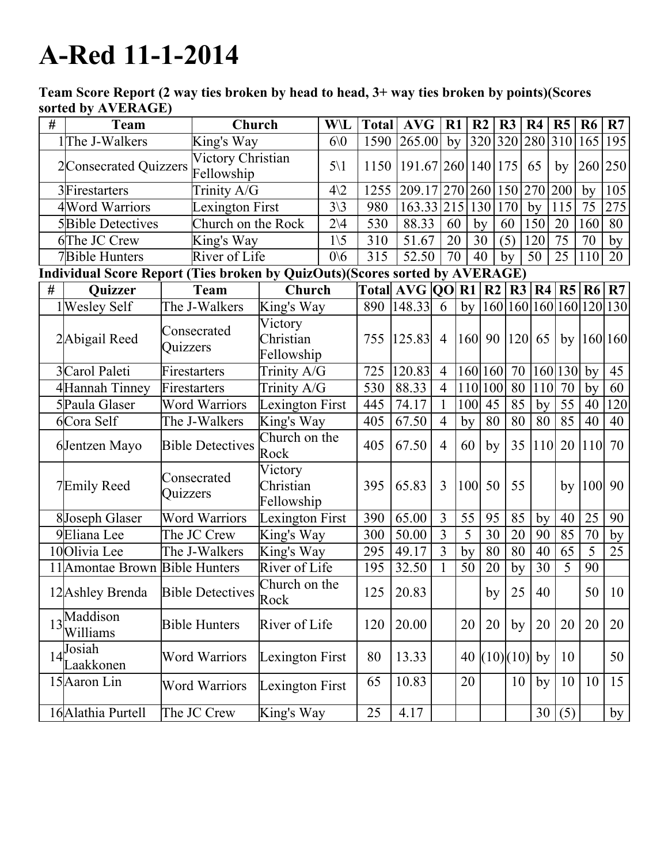## A-Red 11-1-2014

Team Score Report (2 way ties broken by head to head, 3+ way ties broken by points)(Scores sorted by AVERAGE)

| # | Team                                  | Church                                                                      |                                    | <b>W\L</b>      | <b>Total</b> | <b>AVG</b>                      | R1              | R <sub>2</sub>  | R3       | R <sub>4</sub> |            | R5              | R <sub>6</sub>              | R7                      |
|---|---------------------------------------|-----------------------------------------------------------------------------|------------------------------------|-----------------|--------------|---------------------------------|-----------------|-----------------|----------|----------------|------------|-----------------|-----------------------------|-------------------------|
|   | 1The J-Walkers                        | King's Way                                                                  |                                    | 60              | 1590         | 265.00                          | by              | 320 320 280 310 |          |                |            |                 | 165                         | 195                     |
|   | 2Consecrated Quizzers                 | Victory Christian<br>Fellowship                                             |                                    | $5\backslash1$  |              | 1150   191.67   260   140   175 |                 |                 |          | 65             |            | by              | 260 250                     |                         |
|   | 3 Firestarters                        | Trinity A/G                                                                 |                                    | $4\sqrt{2}$     | 1255         | 209.17 270 260 150 270          |                 |                 |          |                |            | 200             | by                          | 105                     |
|   | 4 Word Warriors                       | Lexington First                                                             |                                    | $3\backslash 3$ | 980          | 163.33 215                      |                 | 130             | 170      | by             |            | 115             | 75                          | 275                     |
|   | <b>5</b> Bible Detectives             | Church on the Rock                                                          |                                    | $2\vee 4$       | 530          | 88.33                           | 60              | by              | 60       | 150            |            | 20              | 160                         | 80                      |
|   | 6The JC Crew                          | King's Way                                                                  |                                    | $1\backslash 5$ | 310          | 51.67                           | 20              | 30              | (5)      | 120            |            | 75              | 70                          | by                      |
|   | River of Life<br>7Bible Hunters       |                                                                             |                                    | 0/6             | 315          | 52.50                           | $\overline{70}$ | 40              | by       | 50             |            | 25              | 110                         | 20                      |
|   |                                       | Individual Score Report (Ties broken by QuizOuts)(Scores sorted by AVERAGE) |                                    |                 |              |                                 |                 |                 |          |                |            |                 |                             |                         |
| # | <b>Quizzer</b>                        | Team                                                                        |                                    | Church          |              | Total $AVG$ $QO$ R1 R2          |                 |                 |          |                |            |                 | $\overline{R3 R4 R5 R6 R7}$ |                         |
|   | 1 Wesley Self                         | The J-Walkers                                                               | King's Way                         |                 |              | 890   148.33                    | 6               | by              |          |                |            |                 |                             | 160 160 160 160 120 130 |
|   | 2Abigail Reed                         | Consecrated<br>Quizzers                                                     | Victory<br>Christian<br>Fellowship |                 | 755          | 125.83                          | $\overline{4}$  | $160$   90      |          | $ 120 $ 65     |            | by              |                             | 160 160                 |
|   | 3Carol Paleti                         | Firestarters                                                                | Trinity A/G                        |                 | 725          | 120.83                          | $\overline{4}$  | 160 160         |          | 70             |            | 160 130         | by                          | 45                      |
|   | 4Hannah Tinney                        | Firestarters                                                                | $\overline{\text{Trinity}}$ A/G    |                 | 530          | 88.33                           | $\overline{4}$  | 110 100         |          | 80             | 110        | $\overline{70}$ | by                          | $\overline{60}$         |
|   | 5 Paula Glaser                        | <b>Word Warriors</b>                                                        | <b>Lexington First</b>             |                 | 445          | 74.17                           | 1               | 100             | 45       | 85             | by         | 55              | 40                          | 120                     |
|   | 6Cora Self                            | The J-Walkers                                                               | King's Way                         |                 | 405          | 67.50                           | $\overline{4}$  | by              | 80       | 80             | 80         | 85              | 40                          | 40                      |
|   | 6Jentzen Mayo                         | <b>Bible Detectives</b>                                                     | Church on the<br>Rock              |                 | 405          | 67.50                           | $\overline{4}$  | 60              | by       | 35             | <b>110</b> | 20              | 110                         | 70                      |
|   | 7Emily Reed                           | Consecrated<br>Quizzers                                                     | Victory<br>Christian<br>Fellowship |                 | 395          | 65.83                           | $\overline{3}$  | 100             | 50       | 55             |            | by              | <b>100</b>                  | 90                      |
|   | 8Joseph Glaser                        | <b>Word Warriors</b>                                                        | Lexington First                    |                 | 390          | 65.00                           | $\overline{3}$  | 55              | 95       | 85             | by         | 40              | 25                          | 90                      |
|   | 9Eliana Lee                           | The JC Crew                                                                 | King's Way                         |                 | 300          | 50.00                           | $\overline{3}$  | 5               | 30       | 20             | 90         | 85              | 70                          | by                      |
|   | 10Olivia Lee                          | The J-Walkers                                                               | King's Way                         |                 | 295          | 49.17                           | $\overline{3}$  | by              | 80       | 80             | 40         | 65              | $\overline{5}$              | 25                      |
|   | 11 Amontae Brown Bible Hunters        |                                                                             | River of Life                      |                 | 195          | 32.50                           | 1               | 50              | 20       | by             | 30         | 5               | 90                          |                         |
|   | 12 Ashley Brenda                      | <b>Bible Detectives</b>                                                     | Church on the<br>Rock              |                 | 125          | 20.83                           |                 |                 | by       | 25             | 40         |                 | 50                          | 10                      |
|   | 13Maddison<br>Williams                | <b>Bible Hunters</b>                                                        | River of Life                      |                 | 120          | 20.00                           |                 | 20              | 20       | by             | 20         | 20              | 20                          | 20                      |
|   | $14\sqrt{\text{Josiah}}$<br>Laakkonen | <b>Word Warriors</b>                                                        | Lexington First                    |                 | 80           | 13.33                           |                 | 40              | (10)(10) |                | by         | 10              |                             | 50                      |
|   | 15 Aaron Lin                          | <b>Word Warriors</b>                                                        | <b>Lexington First</b>             |                 | 65           | 10.83                           |                 | 20              |          | 10             | by         | 10              | 10                          | 15                      |
|   | 16 Alathia Purtell                    | The JC Crew                                                                 | King's Way                         |                 | 25           | 4.17                            |                 |                 |          |                | 30         | (5)             |                             | by                      |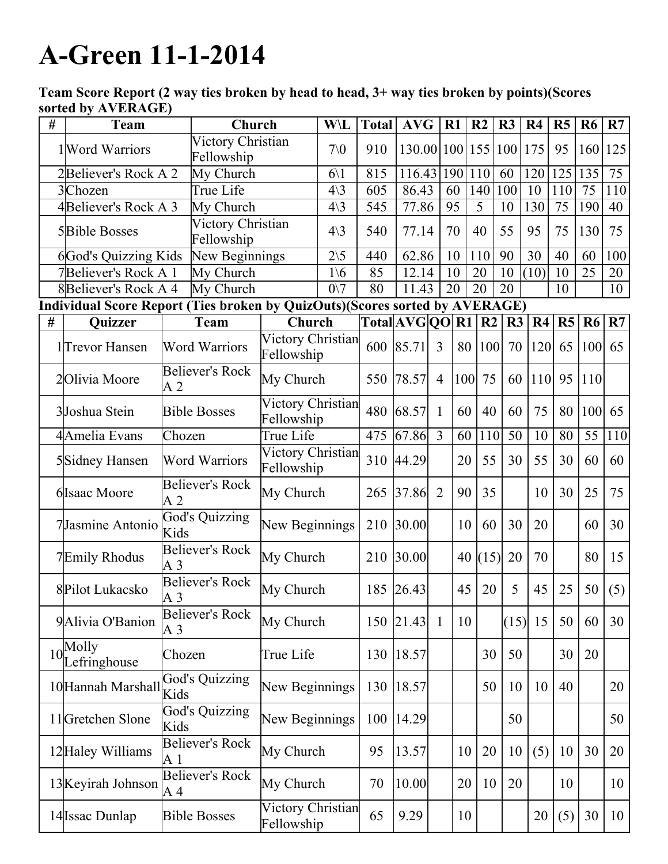## A-Green 11-1-2014

Team Score Report (2 way ties broken by head to head, 3+ way ties broken by points)(Scores sorted by AVERAGE)

| # | <b>Team</b>                                                                 |                                          | Church                 |                                 | W\L                        | <b>Total</b>   | <b>AVG</b>      | R1             |     | R <sub>2</sub> | R3   | R <sub>4</sub> | R <sub>5</sub> | R <sub>6</sub> | R7  |
|---|-----------------------------------------------------------------------------|------------------------------------------|------------------------|---------------------------------|----------------------------|----------------|-----------------|----------------|-----|----------------|------|----------------|----------------|----------------|-----|
|   | Victory Christian<br>1 Word Warriors<br>Fellowship                          |                                          |                        | 70 <sub>0</sub>                 | 910                        | 130.00 100 155 |                 |                |     | 100            | 175  | 95             | 160            | 125            |     |
|   | 2Believer's Rock A 2<br>My Church                                           |                                          |                        | $6\backslash1$                  | 815                        | 116.43         |                 | 190            | 110 | 60             | 120  | 125            | 135            | 75             |     |
|   | 3Chozen<br>True Life                                                        |                                          |                        | $4\backslash3$                  | 605                        | 86.43          |                 | 60             | 140 | 100            | 10   | 110            | 75             | 110            |     |
|   | 4Believer's Rock A 3                                                        |                                          | My Church              |                                 | $4\backslash3$             | 545            | 77.86           |                | 95  | 5              | 10   | 130            | 75             | 190            | 40  |
|   | Victory Christian<br><b>5Bible Bosses</b><br>Fellowship                     |                                          |                        | $4\backslash3$                  | 540                        | 77.14          |                 | 70             | 40  | 55             | 95   | 75             | 130            | 75             |     |
|   | <b>6God's Quizzing Kids</b>                                                 |                                          | New Beginnings         |                                 | $\overline{2}\backslash 5$ | 440            | 62.86           |                | 10  | 110            | 90   | 30             | 40             | 60             | 100 |
|   | 7Believer's Rock A 1<br>My Church                                           |                                          |                        | $1\backslash 6$                 | 85                         | 12.14          |                 | 10             | 20  | 10             | (10) | 10             | 25             | 20             |     |
|   | <b>8Believer's Rock A 4</b><br>My Church                                    |                                          |                        |                                 | $0\vee 7$                  | 80             | 11.43           |                | 20  | 20             | 20   |                | 10             |                | 10  |
|   | Individual Score Report (Ties broken by QuizOuts)(Scores sorted by AVERAGE) |                                          |                        |                                 |                            |                |                 |                |     |                |      |                |                |                |     |
| # | Quizzer                                                                     |                                          | <b>Team</b>            | Church                          |                            |                | Total AVG QO R1 |                |     | R <sub>2</sub> | R3   | R4             | R5             | R6             | R7  |
|   | 1 <sup>T</sup> revor Hansen                                                 |                                          | <b>Word Warriors</b>   | Victory Christian<br>Fellowship |                            |                | 600 85.71       | $\overline{3}$ | 80  | 100            | 70   | 120            | 65             | 100            | 65  |
|   | 2Olivia Moore                                                               | A <sub>2</sub>                           | <b>Believer's Rock</b> | My Church                       |                            | 550            | 78.57           | $\overline{4}$ | 100 | 75             | 60   | <sup>110</sup> | 95             | <b>110</b>     |     |
|   | 3Joshua Stein                                                               | <b>Bible Bosses</b>                      |                        | Victory Christian<br>Fellowship |                            | 480            | 68.57           | $\mathbf{1}$   | 60  | 40             | 60   | 75             | 80             | 100            | 65  |
|   | 4Amelia Evans                                                               | Chozen                                   |                        | True Life                       |                            | 475            | 67.86           | $\overline{3}$ | 60  | 110            | 50   | 10             | 80             | 55             | 110 |
|   | 5Sidney Hansen                                                              | <b>Word Warriors</b>                     |                        | Victory Christian<br>Fellowship |                            |                | 310 44.29       |                | 20  | 55             | 30   | 55             | 30             | 60             | 60  |
|   | 6 Isaac Moore                                                               | Believer's Rock<br>A <sub>2</sub>        |                        | My Church                       |                            | 265            | 37.86           | $\overline{2}$ | 90  | 35             |      | 10             | 30             | 25             | 75  |
|   | 7Jasmine Antonio                                                            | God's Quizzing<br>Kids                   |                        | New Beginnings                  |                            | 210            | 30.00           |                | 10  | 60             | 30   | 20             |                | 60             | 30  |
|   | 7Emily Rhodus                                                               | <b>Believer's Rock</b><br>A <sub>3</sub> |                        | My Church                       |                            | 210            | 30.00           |                |     | 40(15)         | 20   | 70             |                | 80             | 15  |
|   | 8Pilot Lukacsko                                                             | <b>Believer's Rock</b><br>A <sub>3</sub> |                        | My Church                       |                            | 185            | 26.43           |                | 45  | 20             | 5    | 45             | 25             | 50             | (5) |
|   | 9 Alivia O'Banion                                                           | A <sub>3</sub>                           | <b>Believer's Rock</b> | My Church                       |                            | 150            | 21.43           | $\overline{1}$ | 10  |                | (15) | 15             | 50             | 60             | 30  |
|   | $10^{Molly}$<br>Lefringhouse                                                | Chozen                                   |                        | True Life                       |                            | 130            | 18.57           |                |     | 30             | 50   |                | 30             | 20             |     |
|   | 10 Hannah Marshall                                                          | Kids                                     | <b>God's Quizzing</b>  | New Beginnings                  |                            | 130            | 18.57           |                |     | 50             | 10   | 10             | 40             |                | 20  |
|   | 11 Gretchen Slone                                                           | Kids                                     | <b>God's Quizzing</b>  | New Beginnings                  |                            | 100            | 14.29           |                |     |                | 50   |                |                |                | 50  |
|   | 12 Haley Williams                                                           | A 1                                      | <b>Believer's Rock</b> | My Church                       |                            | 95             | 13.57           |                | 10  | 20             | 10   | (5)            | 10             | 30             | 20  |
|   | 13 Keyirah Johnson                                                          | A 4                                      | <b>Believer's Rock</b> | My Church                       |                            | 70             | 10.00           |                | 20  | 10             | 20   |                | 10             |                | 10  |
|   | 14 Issac Dunlap                                                             |                                          | <b>Bible Bosses</b>    | Victory Christian<br>Fellowship |                            | 65             | 9.29            |                | 10  |                |      | 20             | (5)            | 30             | 10  |